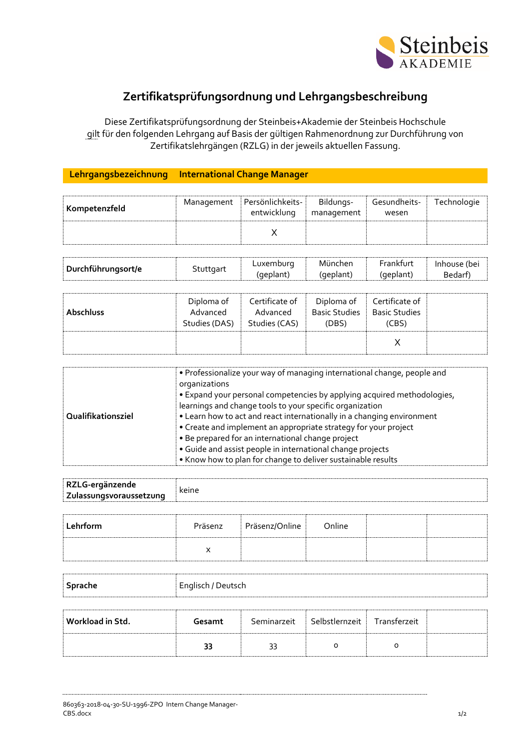

## **Zertifikatsprüfungsordnung und Lehrgangsbeschreibung**

Diese Zertifikatsprüfungsordnung der Steinbeis+Akademie der Steinbeis Hochschule gilt für den folgenden Lehrgang auf Basis der gültigen Rahmenordnung zur Durchführung von Zertifikatslehrgängen (RZLG) in der jeweils aktuellen Fassung.

## **Lehrgangsbezeichnung International Change Manager**

| Kompetenzfeld | Management Persönlichkeits-<br>entwicklung | Bildungs-<br>management | Gesundheits-<br>wesen | Technologie |
|---------------|--------------------------------------------|-------------------------|-----------------------|-------------|
|               |                                            |                         |                       |             |

|                    |           | Luxemburg | Munchen  | <b>Frankfurt</b> | Inhouse (bei |
|--------------------|-----------|-----------|----------|------------------|--------------|
| Durchführungsort/e | Stuttaart | (deplant) | (geplant | (geplant)        | Bedarf       |

| <b>Abschluss</b> | Diploma of<br>Advanced<br>Studies (DAS) | Certificate of<br>Advanced<br>Studies (CAS) | Diploma of<br><b>Basic Studies</b><br>(DBS) | Certificate of<br><b>Basic Studies</b><br>(CBS) |  |
|------------------|-----------------------------------------|---------------------------------------------|---------------------------------------------|-------------------------------------------------|--|
|                  |                                         |                                             |                                             |                                                 |  |

| Qualifikationsziel | • Professionalize your way of managing international change, people and<br>organizations<br>• Expand your personal competencies by applying acquired methodologies,<br>learnings and change tools to your specific organization<br>• Learn how to act and react internationally in a changing environment<br>• Create and implement an appropriate strategy for your project<br>• Be prepared for an international change project<br>· Guide and assist people in international change projects<br>. Know how to plan for change to deliver sustainable results |
|--------------------|-----------------------------------------------------------------------------------------------------------------------------------------------------------------------------------------------------------------------------------------------------------------------------------------------------------------------------------------------------------------------------------------------------------------------------------------------------------------------------------------------------------------------------------------------------------------|
|--------------------|-----------------------------------------------------------------------------------------------------------------------------------------------------------------------------------------------------------------------------------------------------------------------------------------------------------------------------------------------------------------------------------------------------------------------------------------------------------------------------------------------------------------------------------------------------------------|

| RZLG-ergänzende         |       |
|-------------------------|-------|
| Zulassungsvoraussetzung | keine |

| Lehrform | Präsenz | Präsenz/Online | Online |  |
|----------|---------|----------------|--------|--|
|          |         |                |        |  |

| Sprache | Englisch / Deutsch |  |
|---------|--------------------|--|
|         |                    |  |

| Workload in Std. | Gesamt | Seminarzeit | ⊟ Selbstlernzeit ∃ | Transferzeit |  |
|------------------|--------|-------------|--------------------|--------------|--|
|                  |        |             |                    |              |  |

860363-2018-04-30-SU-1996-ZPO Intern Change Manager- $\text{CBS.docx}$  and the contract of the contract of the contract of the contract of the contract of the contract of the contract of the contract of the contract of the contract of the contract of the contract of the contract o